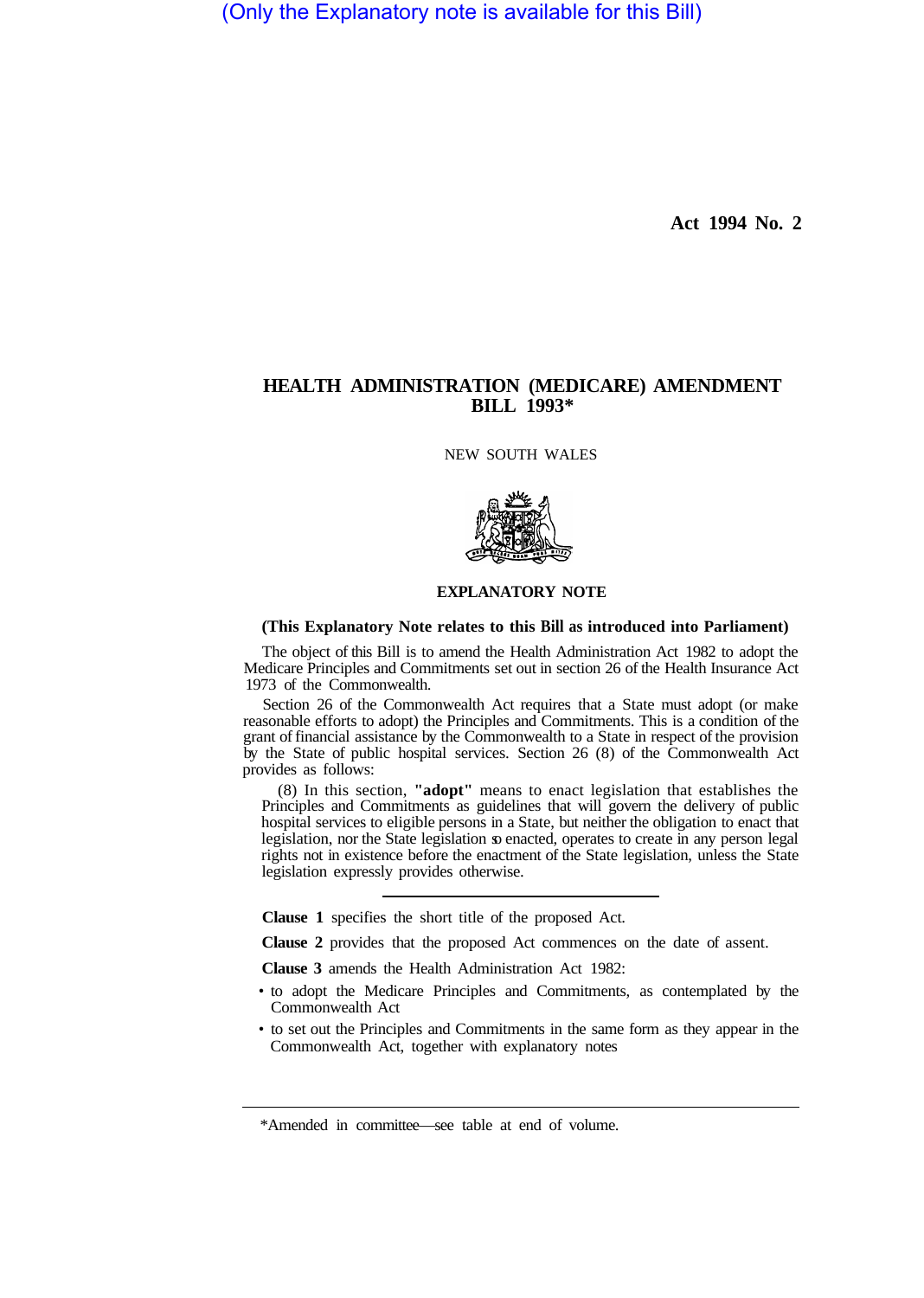(Only the Explanatory note is available for this Bill)

**Act 1994 No. 2** 

## **HEALTH ADMINISTRATION (MEDICARE) AMENDMENT BILL 1993\***

NEW SOUTH WALES



## **EXPLANATORY NOTE**

## **(This Explanatory Note relates to this Bill as introduced into Parliament)**

The object of this Bill is to amend the Health Administration Act 1982 to adopt the Medicare Principles and Commitments set out in section 26 of the Health Insurance Act 1973 of the Commonwealth.

Section 26 of the Commonwealth Act requires that a State must adopt (or make reasonable efforts to adopt) the Principles and Commitments. This is a condition of the grant of financial assistance by the Commonwealth to a State in respect of the provision by the State of public hospital services. Section 26 (8) of the Commonwealth Act provides as follows:

(8) In this section, **"adopt"** means to enact legislation that establishes the Principles and Commitments as guidelines that will govern the delivery of public hospital services to eligible persons in a State, but neither the obligation to enact that legislation, nor the State legislation so enacted, operates to create in any person legal rights not in existence before the enactment of the State legislation, unless the State legislation expressly provides otherwise.

**Clause 1** specifies the short title of the proposed Act.

**Clause 2** provides that the proposed Act commences on the date of assent.

**Clause 3** amends the Health Administration Act 1982:

- to adopt the Medicare Principles and Commitments, as contemplated by the Commonwealth Act
- to set out the Principles and Commitments in the same form as they appear in the Commonwealth Act, together with explanatory notes

<sup>\*</sup>Amended in committee—see table at end of volume.